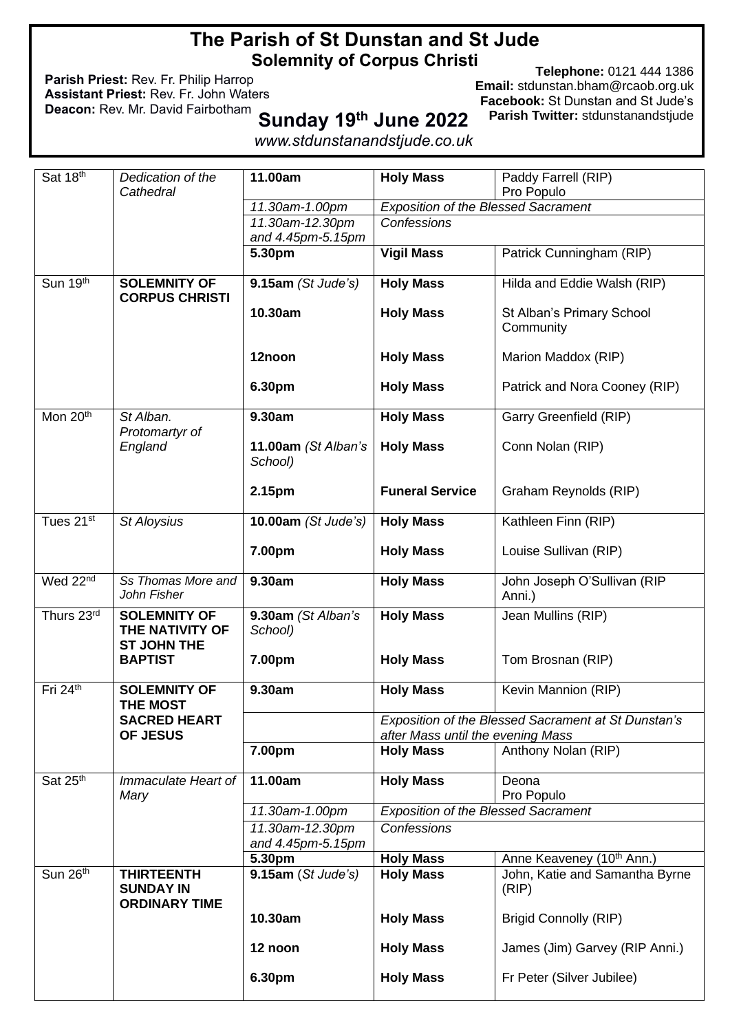# **The Parish of St Dunstan and St Jude Solemnity of Corpus Christi**

**Parish Priest:** Rev. Fr. Philip Harrop **Assistant Priest:** Rev. Fr. John Waters **Deacon: Rev. Mr. David Fairbotham** 

**Telephone:** 0121 444 1386 **Email:** [stdunstan.bham@rcaob.org.uk](mailto:stdunstan.bham@rcaob.org.uk) **Facebook:** St Dunstan and St Jude's **Parish Twitter:** stdunstanandstjude

**th June 2022**

*www.stdunstanandstjude.co.uk*

| Sat 18th             | Dedication of the                                                              | 11.00am                              | <b>Holy Mass</b>                                    | Paddy Farrell (RIP)                     |
|----------------------|--------------------------------------------------------------------------------|--------------------------------------|-----------------------------------------------------|-----------------------------------------|
|                      | Cathedral                                                                      |                                      |                                                     | Pro Populo                              |
|                      |                                                                                | 11.30am-1.00pm                       | <b>Exposition of the Blessed Sacrament</b>          |                                         |
|                      |                                                                                | 11.30am-12.30pm<br>and 4.45pm-5.15pm | Confessions                                         |                                         |
|                      |                                                                                | 5.30pm                               | <b>Vigil Mass</b>                                   | Patrick Cunningham (RIP)                |
| Sun 19th             | <b>SOLEMNITY OF</b><br><b>CORPUS CHRISTI</b>                                   | $9.15am$ (St Jude's)                 | <b>Holy Mass</b>                                    | Hilda and Eddie Walsh (RIP)             |
|                      |                                                                                | 10.30am                              | <b>Holy Mass</b>                                    | St Alban's Primary School<br>Community  |
|                      |                                                                                | 12noon                               | <b>Holy Mass</b>                                    | Marion Maddox (RIP)                     |
|                      |                                                                                | 6.30pm                               | <b>Holy Mass</b>                                    | Patrick and Nora Cooney (RIP)           |
| Mon 20 <sup>th</sup> | St Alban.<br>Protomartyr of                                                    | 9.30am                               | <b>Holy Mass</b>                                    | Garry Greenfield (RIP)                  |
|                      | England                                                                        | 11.00am (St Alban's<br>School)       | <b>Holy Mass</b>                                    | Conn Nolan (RIP)                        |
|                      |                                                                                | 2.15pm                               | <b>Funeral Service</b>                              | Graham Reynolds (RIP)                   |
| Tues 21st            | St Aloysius                                                                    | $10.00$ am (St Jude's)               | <b>Holy Mass</b>                                    | Kathleen Finn (RIP)                     |
|                      |                                                                                | 7.00pm                               | <b>Holy Mass</b>                                    | Louise Sullivan (RIP)                   |
| Wed 22 <sup>nd</sup> | Ss Thomas More and<br>John Fisher                                              | 9.30am                               | <b>Holy Mass</b>                                    | John Joseph O'Sullivan (RIP<br>Anni.)   |
| Thurs 23rd           | <b>SOLEMNITY OF</b><br>THE NATIVITY OF<br><b>ST JOHN THE</b><br><b>BAPTIST</b> | 9.30am (St Alban's<br>School)        | <b>Holy Mass</b>                                    | Jean Mullins (RIP)                      |
|                      |                                                                                | 7.00pm                               | <b>Holy Mass</b>                                    | Tom Brosnan (RIP)                       |
| Fri 24th             | <b>SOLEMNITY OF</b><br><b>THE MOST</b>                                         | 9.30am                               | <b>Holy Mass</b>                                    | Kevin Mannion (RIP)                     |
|                      | <b>SACRED HEART</b><br>OF JESUS                                                |                                      | Exposition of the Blessed Sacrament at St Dunstan's |                                         |
|                      |                                                                                |                                      | after Mass until the evening Mass                   |                                         |
|                      |                                                                                | 7.00pm                               | <b>Holy Mass</b>                                    | Anthony Nolan (RIP)                     |
| Sat 25th             | Immaculate Heart of<br>Mary                                                    | 11.00am                              | <b>Holy Mass</b>                                    | Deona<br>Pro Populo                     |
|                      |                                                                                | 11.30am-1.00pm                       | <b>Exposition of the Blessed Sacrament</b>          |                                         |
|                      |                                                                                | 11.30am-12.30pm<br>and 4.45pm-5.15pm | Confessions                                         |                                         |
|                      |                                                                                | 5.30pm                               | <b>Holy Mass</b>                                    | Anne Keaveney (10th Ann.)               |
| Sun 26th             | <b>THIRTEENTH</b><br><b>SUNDAY IN</b><br><b>ORDINARY TIME</b>                  | $9.15am(St$ Jude's)                  | <b>Holy Mass</b>                                    | John, Katie and Samantha Byrne<br>(RIP) |
|                      |                                                                                | 10.30am                              | <b>Holy Mass</b>                                    | <b>Brigid Connolly (RIP)</b>            |
|                      |                                                                                | 12 noon                              | <b>Holy Mass</b>                                    | James (Jim) Garvey (RIP Anni.)          |
|                      |                                                                                | 6.30pm                               | <b>Holy Mass</b>                                    | Fr Peter (Silver Jubilee)               |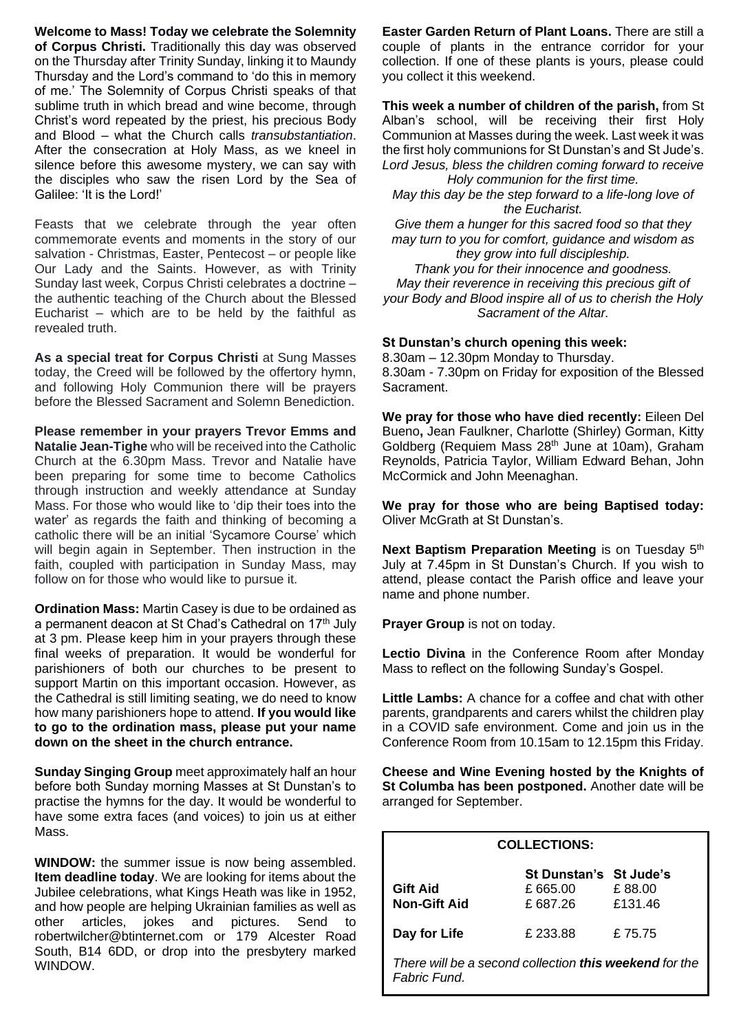**Welcome to Mass! Today we celebrate the Solemnity of Corpus Christi.** Traditionally this day was observed on the Thursday after Trinity Sunday, linking it to Maundy Thursday and the Lord's command to 'do this in memory of me.' The Solemnity of Corpus Christi speaks of that sublime truth in which bread and wine become, through Christ's word repeated by the priest, his precious Body and Blood – what the Church calls *transubstantiation*. After the consecration at Holy Mass, as we kneel in silence before this awesome mystery, we can say with the disciples who saw the risen Lord by the Sea of Galilee: 'It is the Lord!'

Feasts that we celebrate through the year often commemorate events and moments in the story of our salvation - Christmas, Easter, Pentecost – or people like Our Lady and the Saints. However, as with Trinity Sunday last week, Corpus Christi celebrates a doctrine – the authentic teaching of the Church about the Blessed Eucharist – which are to be held by the faithful as revealed truth.

**As a special treat for Corpus Christi** at Sung Masses today, the Creed will be followed by the offertory hymn, and following Holy Communion there will be prayers before the Blessed Sacrament and Solemn Benediction.

**Please remember in your prayers Trevor Emms and Natalie Jean-Tighe** who will be received into the Catholic Church at the 6.30pm Mass. Trevor and Natalie have been preparing for some time to become Catholics through instruction and weekly attendance at Sunday Mass. For those who would like to 'dip their toes into the water' as regards the faith and thinking of becoming a catholic there will be an initial 'Sycamore Course' which will begin again in September. Then instruction in the faith, coupled with participation in Sunday Mass, may follow on for those who would like to pursue it.

**Ordination Mass:** Martin Casey is due to be ordained as a permanent deacon at St Chad's Cathedral on 17<sup>th</sup> July at 3 pm. Please keep him in your prayers through these final weeks of preparation. It would be wonderful for parishioners of both our churches to be present to support Martin on this important occasion. However, as the Cathedral is still limiting seating, we do need to know how many parishioners hope to attend. **If you would like to go to the ordination mass, please put your name down on the sheet in the church entrance.** 

**Sunday Singing Group** meet approximately half an hour before both Sunday morning Masses at St Dunstan's to practise the hymns for the day. It would be wonderful to have some extra faces (and voices) to join us at either Mass.

**WINDOW:** the summer issue is now being assembled. **Item deadline today**. We are looking for items about the Jubilee celebrations, what Kings Heath was like in 1952, and how people are helping Ukrainian families as well as other articles, jokes and pictures. Send to [robertwilcher@btinternet.com](mailto:robertwilcher@btinternet.com) or 179 Alcester Road South, B14 6DD, or drop into the presbytery marked WINDOW.

**Easter Garden Return of Plant Loans.** There are still a couple of plants in the entrance corridor for your collection. If one of these plants is yours, please could you collect it this weekend.

**This week a number of children of the parish,** from St Alban's school, will be receiving their first Holy Communion at Masses during the week. Last week it was the first holy communions for St Dunstan's and St Jude's. *Lord Jesus, bless the children coming forward to receive* 

*Holy communion for the first time. May this day be the step forward to a life-long love of the Eucharist.*

*Give them a hunger for this sacred food so that they may turn to you for comfort, guidance and wisdom as they grow into full discipleship.*

*Thank you for their innocence and goodness. May their reverence in receiving this precious gift of your Body and Blood inspire all of us to cherish the Holy Sacrament of the Altar.*

# **St Dunstan's church opening this week:**

8.30am – 12.30pm Monday to Thursday. 8.30am - 7.30pm on Friday for exposition of the Blessed Sacrament.

**We pray for those who have died recently:** Eileen Del Bueno**,** Jean Faulkner, Charlotte (Shirley) Gorman, Kitty Goldberg (Requiem Mass 28<sup>th</sup> June at 10am), Graham Reynolds, Patricia Taylor, William Edward Behan, John McCormick and John Meenaghan.

**We pray for those who are being Baptised today:**  Oliver McGrath at St Dunstan's.

Next Baptism Preparation Meeting is on Tuesday 5<sup>th</sup> July at 7.45pm in St Dunstan's Church. If you wish to attend, please contact the Parish office and leave your name and phone number.

**Prayer Group** is not on today.

**Lectio Divina** in the Conference Room after Monday Mass to reflect on the following Sunday's Gospel.

**Little Lambs:** A chance for a coffee and chat with other parents, grandparents and carers whilst the children play in a COVID safe environment. Come and join us in the Conference Room from 10.15am to 12.15pm this Friday.

**Cheese and Wine Evening hosted by the Knights of St Columba has been postponed.** Another date will be arranged for September.

| <b>COLLECTIONS:</b>                                                   |                                                |                    |  |  |  |
|-----------------------------------------------------------------------|------------------------------------------------|--------------------|--|--|--|
| <b>Gift Aid</b><br><b>Non-Gift Aid</b>                                | St Dunstan's St Jude's<br>£ 665.00<br>£ 687.26 | £ 88.00<br>£131.46 |  |  |  |
| Day for Life                                                          | £ 233.88                                       | £75.75             |  |  |  |
| There will be a second collection this weekend for the<br>Fabric Fund |                                                |                    |  |  |  |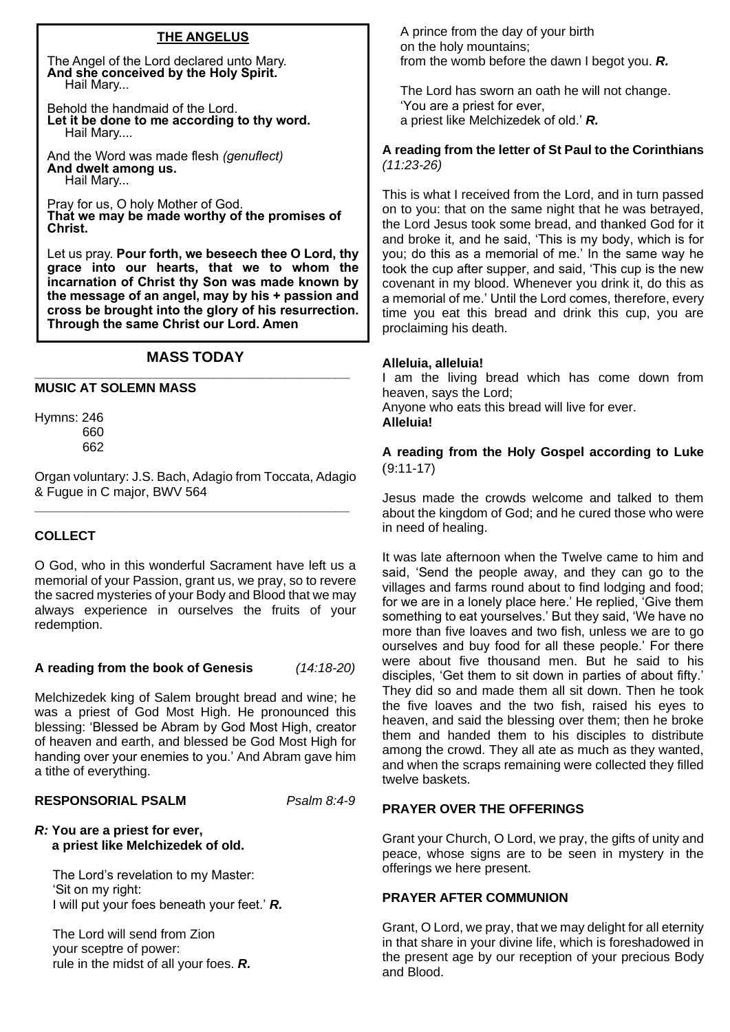## **THE ANGELUS**

The Angel of the Lord declared unto Mary. **And she conceived by the Holy Spirit.**  Hail Mary...

Behold the handmaid of the Lord. **Let it be done to me according to thy word.**  Hail Mary....

And the Word was made flesh *(genuflect)* **And dwelt among us.** Hail Mary...

Pray for us, O holy Mother of God. **That we may be made worthy of the promises of Christ.**

Let us pray. **Pour forth, we beseech thee O Lord, thy grace into our hearts, that we to whom the incarnation of Christ thy Son was made known by the message of an angel, may by his + passion and cross be brought into the glory of his resurrection. Through the same Christ our Lord. Amen**

## **MASS TODAY \_\_\_\_\_\_\_\_\_\_\_\_\_\_\_\_\_\_\_\_\_\_\_\_\_\_\_\_\_\_\_\_\_\_\_\_\_\_\_\_\_\_\_\_**

## **MUSIC AT SOLEMN MASS**

Hymns: 246 660

662

Organ voluntary: J.S. Bach, Adagio from Toccata, Adagio & Fugue in C major, BWV 564 **\_\_\_\_\_\_\_\_\_\_\_\_\_\_\_\_\_\_\_\_\_\_\_\_\_\_\_\_\_\_\_\_\_\_\_\_\_\_\_\_\_\_\_\_**

## **COLLECT**

O God, who in this wonderful Sacrament have left us a memorial of your Passion, grant us, we pray, so to revere the sacred mysteries of your Body and Blood that we may always experience in ourselves the fruits of your redemption.

#### **A reading from the book of Genesis** *(14:18-20)*

Melchizedek king of Salem brought bread and wine; he was a priest of God Most High. He pronounced this blessing: 'Blessed be Abram by God Most High, creator of heaven and earth, and blessed be God Most High for handing over your enemies to you.' And Abram gave him a tithe of everything.

#### **RESPONSORIAL PSALM** *Psalm 8:4-9*

#### *R:* **You are a priest for ever, a priest like Melchizedek of old.**

The Lord's revelation to my Master: 'Sit on my right: I will put your foes beneath your feet.' *R.*

The Lord will send from Zion your sceptre of power: rule in the midst of all your foes. *R.* A prince from the day of your birth on the holy mountains; from the womb before the dawn I begot you. *R.*

The Lord has sworn an oath he will not change. 'You are a priest for ever, a priest like Melchizedek of old.' *R.*

#### **A reading from the letter of St Paul to the Corinthians** *(11:23-26)*

This is what I received from the Lord, and in turn passed on to you: that on the same night that he was betrayed, the Lord Jesus took some bread, and thanked God for it and broke it, and he said, 'This is my body, which is for you; do this as a memorial of me.' In the same way he took the cup after supper, and said, 'This cup is the new covenant in my blood. Whenever you drink it, do this as a memorial of me.' Until the Lord comes, therefore, every time you eat this bread and drink this cup, you are proclaiming his death.

#### **Alleluia, alleluia!**

I am the living bread which has come down from heaven, says the Lord; Anyone who eats this bread will live for ever. **Alleluia!**

## **A reading from the Holy Gospel according to Luke** (9:11-17)

Jesus made the crowds welcome and talked to them about the kingdom of God; and he cured those who were in need of healing.

It was late afternoon when the Twelve came to him and said, 'Send the people away, and they can go to the villages and farms round about to find lodging and food; for we are in a lonely place here.' He replied, 'Give them something to eat yourselves.' But they said, 'We have no more than five loaves and two fish, unless we are to go ourselves and buy food for all these people.' For there were about five thousand men. But he said to his disciples, 'Get them to sit down in parties of about fifty.' They did so and made them all sit down. Then he took the five loaves and the two fish, raised his eyes to heaven, and said the blessing over them; then he broke them and handed them to his disciples to distribute among the crowd. They all ate as much as they wanted, and when the scraps remaining were collected they filled twelve baskets.

#### **PRAYER OVER THE OFFERINGS**

Grant your Church, O Lord, we pray, the gifts of unity and peace, whose signs are to be seen in mystery in the offerings we here present.

#### **PRAYER AFTER COMMUNION**

Grant, O Lord, we pray, that we may delight for all eternity in that share in your divine life, which is foreshadowed in the present age by our reception of your precious Body and Blood.